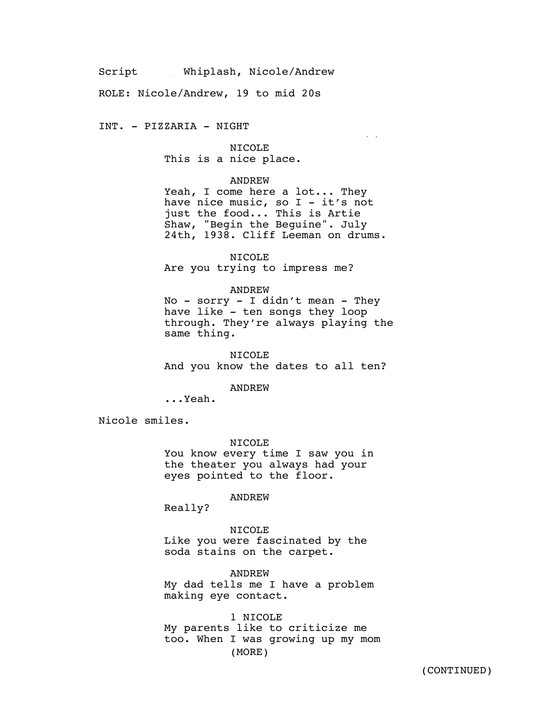Script Whiplash, Nicole/Andrew

ROLE: Nicole/Andrew, 19 to mid 20s

INT. - PIZZARIA - NIGHT

Agricultural control  $\mathcal{A}_\mathcal{A}$ 

NICOLE This is a nice place.

### ANDREW

Yeah, I come here a lot... They have nice music, so  $I - it's$  not just the food... This is Artie Shaw, "Begin the Beguine". July 24th, 1938. Cliff Leeman on drums.

NICOLE Are you trying to impress me?

#### ANDREW

No - sorry - I didn't mean - They have like - ten songs they loop through. They're always playing the same thing.

NICOLE And you know the dates to all ten?

ANDREW

...Yeah.

Nicole smiles.

NICOLE You know every time I saw you in the theater you always had your eyes pointed to the floor.

ANDREW

Really?

NICOLE Like you were fascinated by the soda stains on the carpet.

ANDREW My dad tells me I have a problem making eye contact.

1 NICOLE My parents like to criticize me too. When I was growing up my mom (MORE)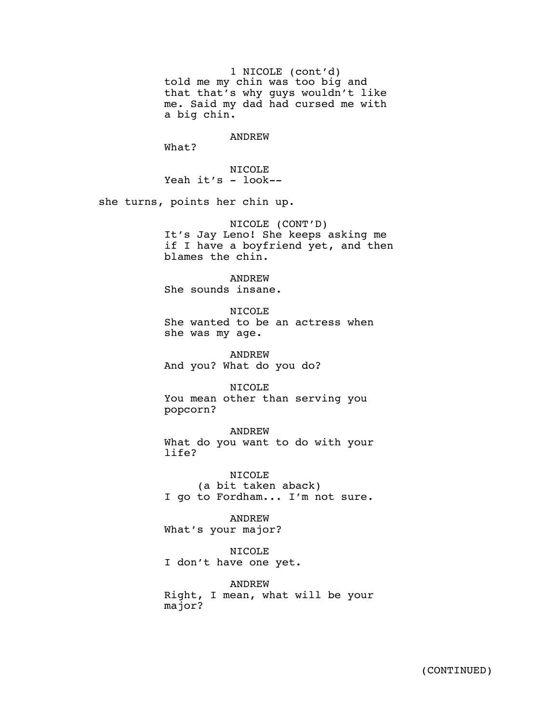1 NICOLE (cont'd) told me my chin was too big and that that's why guys wouldn't like me. Said my dad had cursed me with a big chin.

ANDREW

What?

NICOLE Yeah it's - look--

she turns, points her chin up.

NICOLE (CONT'D) It's Jay Leno! She keeps asking me if I have a boyfriend yet, and then blames the chin.

ANDREW She sounds insane.

NICOLE She wanted to be an actress when she was my age.

ANDREW And you? What do you do?

NICOLE

You mean other than serving you popcorn?

ANDREW What do you want to do with your life?

NICOLE (a bit taken aback) I go to Fordham... I'm not sure.

ANDREW What's your major?

NICOLE I don't have one yet.

ANDREW Right, I mean, what will be your major?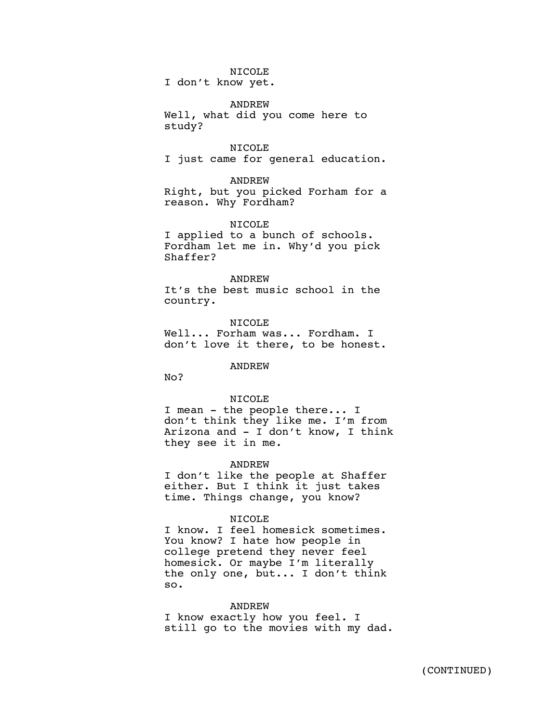# NICOLE

I don't know yet.

### ANDREW

Well, what did you come here to study?

NICOLE I just came for general education.

#### ANDREW

Right, but you picked Forham for a reason. Why Fordham?

### NICOLE

I applied to a bunch of schools. Fordham let me in. Why'd you pick Shaffer?

#### ANDREW

It's the best music school in the country.

NICOLE Well... Forham was... Fordham. I don't love it there, to be honest.

## ANDREW

No?

## NICOLE

I mean - the people there... I don't think they like me. I'm from Arizona and - I don't know, I think they see it in me.

#### ANDREW

I don't like the people at Shaffer either. But I think it just takes time. Things change, you know?

### NTCOLE<sub></sub>

I know. I feel homesick sometimes. You know? I hate how people in college pretend they never feel homesick. Or maybe I'm literally the only one, but... I don't think so.

### ANDREW

I know exactly how you feel. I still go to the movies with my dad.